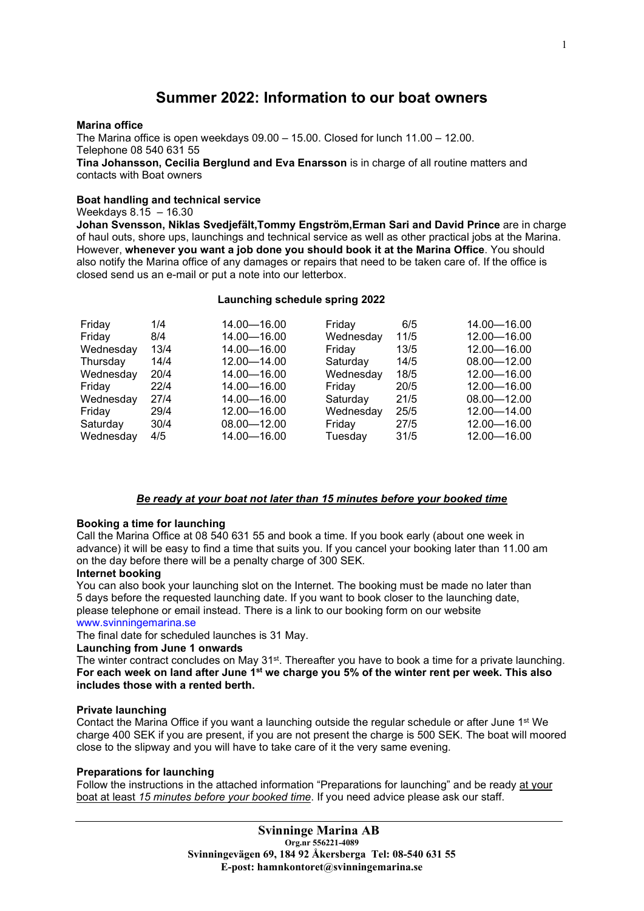# Summer 2022: Information to our boat owners

## Marina office

The Marina office is open weekdays 09.00 – 15.00. Closed for lunch 11.00 – 12.00. Telephone 08 540 631 55 Tina Johansson, Cecilia Berglund and Eva Enarsson is in charge of all routine matters and contacts with Boat owners

# Boat handling and technical service

## Weekdays 8.15 – 16.30

Johan Svensson, Niklas Svedjefält,Tommy Engström,Erman Sari and David Prince are in charge of haul outs, shore ups, launchings and technical service as well as other practical jobs at the Marina. However, whenever you want a job done you should book it at the Marina Office. You should also notify the Marina office of any damages or repairs that need to be taken care of. If the office is closed send us an e-mail or put a note into our letterbox.

# Launching schedule spring 2022

| Friday<br>Friday<br>Wednesday<br>Thursday<br>Wednesday<br>Friday<br>Wednesday<br>Friday<br>Saturday | 1/4<br>8/4<br>13/4<br>14/4<br>20/4<br>22/4<br>27/4<br>29/4<br>30/4 | 14.00 - 16.00<br>14.00 - 16.00<br>14.00 - 16.00<br>$12.00 - 14.00$<br>14.00 - 16.00<br>14.00 - 16.00<br>14.00 - 16.00<br>12.00 - 16.00<br>$08.00 - 12.00$ | Friday<br>Wednesday<br>Friday<br>Saturday<br>Wednesday<br>Friday<br>Saturday<br>Wednesday<br>Friday | 6/5<br>11/5<br>13/5<br>14/5<br>18/5<br>20/5<br>21/5<br>25/5<br>27/5 | 14.00 - 16.00<br>12.00 - 16.00<br>12.00 - 16.00<br>$08.00 - 12.00$<br>12.00 - 16.00<br>12.00 - 16.00<br>08.00-12.00<br>12.00 - 14.00<br>12.00 - 16.00 |
|-----------------------------------------------------------------------------------------------------|--------------------------------------------------------------------|-----------------------------------------------------------------------------------------------------------------------------------------------------------|-----------------------------------------------------------------------------------------------------|---------------------------------------------------------------------|-------------------------------------------------------------------------------------------------------------------------------------------------------|
| Wednesday                                                                                           | 4/5                                                                | 14.00 - 16.00                                                                                                                                             | Tuesday                                                                                             | 31/5                                                                | 12.00 - 16.00                                                                                                                                         |
|                                                                                                     |                                                                    |                                                                                                                                                           |                                                                                                     |                                                                     |                                                                                                                                                       |

# Be ready at your boat not later than 15 minutes before your booked time

# Booking a time for launching

Call the Marina Office at 08 540 631 55 and book a time. If you book early (about one week in advance) it will be easy to find a time that suits you. If you cancel your booking later than 11.00 am on the day before there will be a penalty charge of 300 SEK.

# Internet booking

You can also book your launching slot on the Internet. The booking must be made no later than 5 days before the requested launching date. If you want to book closer to the launching date, please telephone or email instead. There is a link to our booking form on our website www.svinningemarina.se

# The final date for scheduled launches is 31 May.

# Launching from June 1 onwards

The winter contract concludes on May 31<sup>st</sup>. Thereafter you have to book a time for a private launching. For each week on land after June  $1<sup>st</sup>$  we charge you 5% of the winter rent per week. This also includes those with a rented berth.

# Private launching

Contact the Marina Office if you want a launching outside the regular schedule or after June 1st We charge 400 SEK if you are present, if you are not present the charge is 500 SEK. The boat will moored close to the slipway and you will have to take care of it the very same evening.

# Preparations for launching

Follow the instructions in the attached information "Preparations for launching" and be ready at your boat at least 15 minutes before your booked time. If you need advice please ask our staff.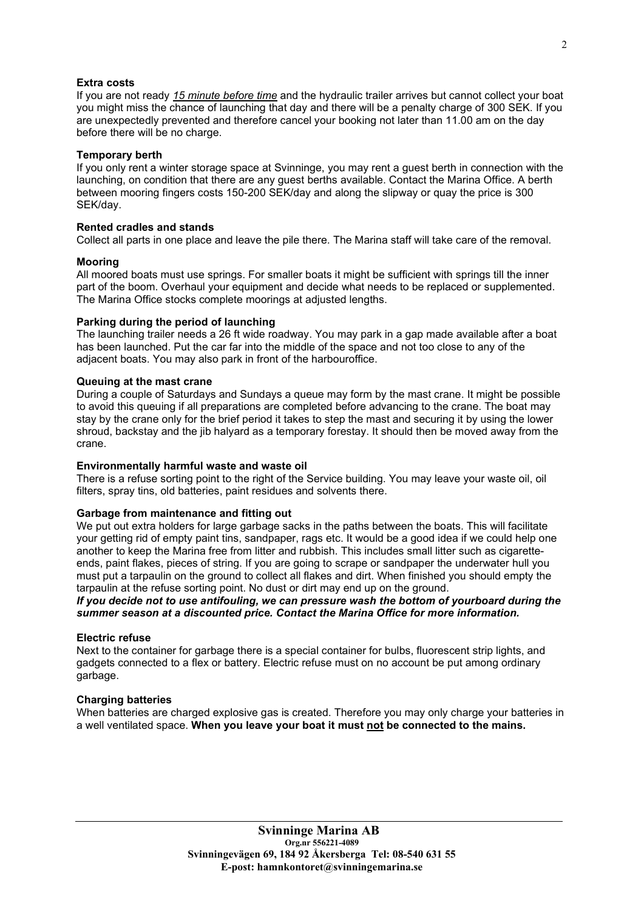# Extra costs

If you are not ready 15 minute before time and the hydraulic trailer arrives but cannot collect your boat you might miss the chance of launching that day and there will be a penalty charge of 300 SEK. If you are unexpectedly prevented and therefore cancel your booking not later than 11.00 am on the day before there will be no charge.

## Temporary berth

If you only rent a winter storage space at Svinninge, you may rent a guest berth in connection with the launching, on condition that there are any guest berths available. Contact the Marina Office. A berth between mooring fingers costs 150-200 SEK/day and along the slipway or quay the price is 300 SEK/day.

#### Rented cradles and stands

Collect all parts in one place and leave the pile there. The Marina staff will take care of the removal.

## Mooring

All moored boats must use springs. For smaller boats it might be sufficient with springs till the inner part of the boom. Overhaul your equipment and decide what needs to be replaced or supplemented. The Marina Office stocks complete moorings at adjusted lengths.

## Parking during the period of launching

The launching trailer needs a 26 ft wide roadway. You may park in a gap made available after a boat has been launched. Put the car far into the middle of the space and not too close to any of the adjacent boats. You may also park in front of the harbouroffice.

## Queuing at the mast crane

During a couple of Saturdays and Sundays a queue may form by the mast crane. It might be possible to avoid this queuing if all preparations are completed before advancing to the crane. The boat may stay by the crane only for the brief period it takes to step the mast and securing it by using the lower shroud, backstay and the jib halyard as a temporary forestay. It should then be moved away from the crane.

## Environmentally harmful waste and waste oil

There is a refuse sorting point to the right of the Service building. You may leave your waste oil, oil filters, spray tins, old batteries, paint residues and solvents there.

# Garbage from maintenance and fitting out

We put out extra holders for large garbage sacks in the paths between the boats. This will facilitate your getting rid of empty paint tins, sandpaper, rags etc. It would be a good idea if we could help one another to keep the Marina free from litter and rubbish. This includes small litter such as cigaretteends, paint flakes, pieces of string. If you are going to scrape or sandpaper the underwater hull you must put a tarpaulin on the ground to collect all flakes and dirt. When finished you should empty the tarpaulin at the refuse sorting point. No dust or dirt may end up on the ground.

# If you decide not to use antifouling, we can pressure wash the bottom of yourboard during the summer season at a discounted price. Contact the Marina Office for more information.

#### Electric refuse

Next to the container for garbage there is a special container for bulbs, fluorescent strip lights, and gadgets connected to a flex or battery. Electric refuse must on no account be put among ordinary garbage.

#### Charging batteries

When batteries are charged explosive gas is created. Therefore you may only charge your batteries in a well ventilated space. When you leave your boat it must not be connected to the mains.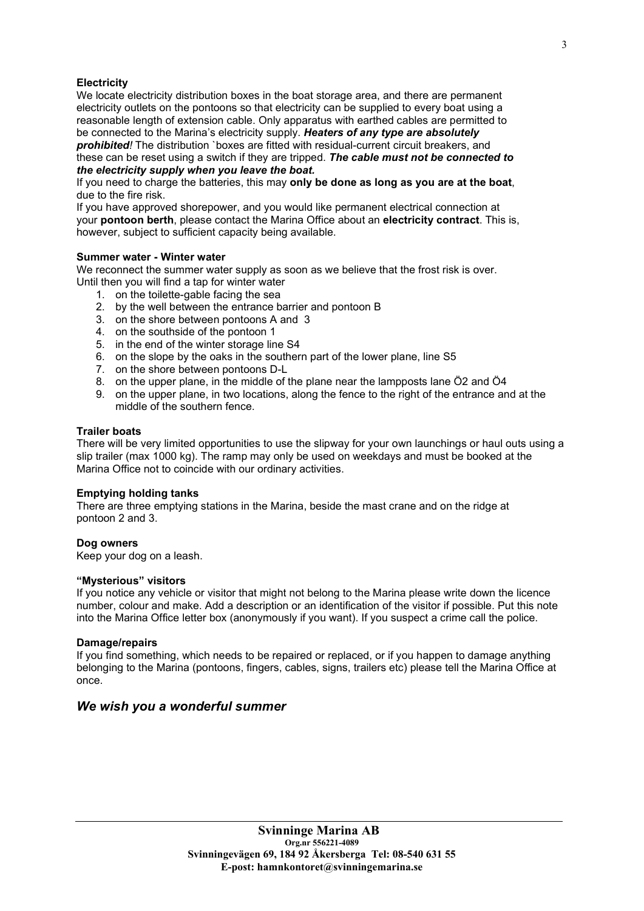# **Electricity**

We locate electricity distribution boxes in the boat storage area, and there are permanent electricity outlets on the pontoons so that electricity can be supplied to every boat using a reasonable length of extension cable. Only apparatus with earthed cables are permitted to be connected to the Marina's electricity supply. Heaters of any type are absolutely prohibited! The distribution `boxes are fitted with residual-current circuit breakers, and

these can be reset using a switch if they are tripped. The cable must not be connected to the electricity supply when you leave the boat.

If you need to charge the batteries, this may only be done as long as you are at the boat, due to the fire risk.

If you have approved shorepower, and you would like permanent electrical connection at your pontoon berth, please contact the Marina Office about an electricity contract. This is, however, subject to sufficient capacity being available.

# Summer water - Winter water

We reconnect the summer water supply as soon as we believe that the frost risk is over. Until then you will find a tap for winter water

- 1. on the toilette-gable facing the sea
- 2. by the well between the entrance barrier and pontoon B
- 3. on the shore between pontoons A and 3
- 4. on the southside of the pontoon 1
- 5. in the end of the winter storage line S4
- 6. on the slope by the oaks in the southern part of the lower plane, line S5
- 7. on the shore between pontoons D-L
- 8. on the upper plane, in the middle of the plane near the lampposts lane Ö2 and Ö4
- 9. on the upper plane, in two locations, along the fence to the right of the entrance and at the middle of the southern fence.

# Trailer boats

There will be very limited opportunities to use the slipway for your own launchings or haul outs using a slip trailer (max 1000 kg). The ramp may only be used on weekdays and must be booked at the Marina Office not to coincide with our ordinary activities.

# Emptying holding tanks

There are three emptying stations in the Marina, beside the mast crane and on the ridge at pontoon 2 and 3.

# Dog owners

Keep your dog on a leash.

# "Mysterious" visitors

If you notice any vehicle or visitor that might not belong to the Marina please write down the licence number, colour and make. Add a description or an identification of the visitor if possible. Put this note into the Marina Office letter box (anonymously if you want). If you suspect a crime call the police.

# Damage/repairs

If you find something, which needs to be repaired or replaced, or if you happen to damage anything belonging to the Marina (pontoons, fingers, cables, signs, trailers etc) please tell the Marina Office at once.

# We wish you a wonderful summer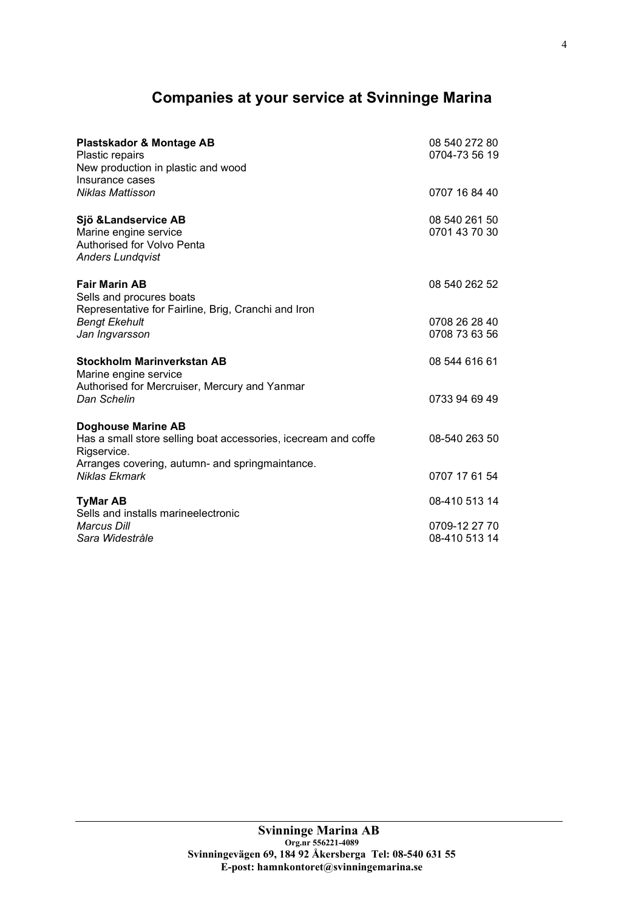# Companies at your service at Svinninge Marina

| Plastskador & Montage AB<br>Plastic repairs<br>New production in plastic and wood<br>Insurance cases                                                          | 08 540 272 80<br>0704-73 56 19 |
|---------------------------------------------------------------------------------------------------------------------------------------------------------------|--------------------------------|
| Niklas Mattisson                                                                                                                                              | 0707 16 84 40                  |
| Sjö & Landservice AB<br>Marine engine service<br><b>Authorised for Volvo Penta</b><br><b>Anders Lundqvist</b>                                                 | 08 540 261 50<br>0701 43 70 30 |
| <b>Fair Marin AB</b><br>Sells and procures boats<br>Representative for Fairline, Brig, Cranchi and Iron                                                       | 08 540 262 52                  |
| <b>Bengt Ekehult</b><br>Jan Ingvarsson                                                                                                                        | 0708 26 28 40<br>0708 73 63 56 |
| <b>Stockholm Marinverkstan AB</b><br>Marine engine service<br>Authorised for Mercruiser, Mercury and Yanmar                                                   | 08 544 616 61                  |
| Dan Schelin                                                                                                                                                   | 0733 94 69 49                  |
| <b>Doghouse Marine AB</b><br>Has a small store selling boat accessories, icecream and coffe<br>Rigservice.<br>Arranges covering, autumn- and springmaintance. | 08-540 263 50                  |
| Niklas Ekmark                                                                                                                                                 | 0707 17 61 54                  |
| <b>TyMar AB</b><br>Sells and installs marineelectronic                                                                                                        | 08-410 513 14                  |
| <b>Marcus Dill</b><br>Sara Widestråle                                                                                                                         | 0709-12 27 70<br>08-410 513 14 |